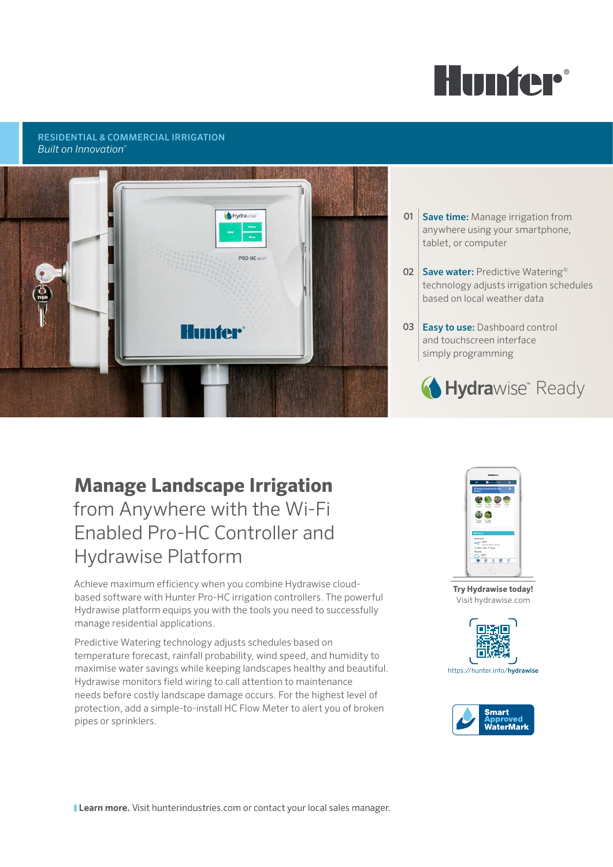

## RESIDENTIAL & COMMERCIAL IRRIGATION *Built on Innovation*®



## **01 Save time:** Manage irrigation from anywhere using your smartphone, tablet, or computer

- 02 Save water: Predictive Watering<sup>®</sup> technology adjusts irrigation schedules based on local weather data
- 03 Easy to use: Dashboard control and touchscreen interface simply programming



# **Manage Landscape Irrigation** from Anywhere with the Wi-Fi Enabled Pro-HC Controller and Hydrawise Platform

Achieve maximum efficiency when you combine Hydrawise cloudbased software with Hunter Pro-HC irrigation controllers. The powerful Hydrawise platform equips you with the tools you need to successfully manage residential applications.

Predictive Watering technology adjusts schedules based on temperature forecast, rainfall probability, wind speed, and humidity to maximise water savings while keeping landscapes healthy and beautiful. Hydrawise monitors field wiring to call attention to maintenance needs before costly landscape damage occurs. For the highest level of protection, add a simple-to-install HC Flow Meter to alert you of broken pipes or sprinklers.



**Try Hydrawise today!**  Visit hydrawise.com





**Learn more.** Visit hunterindustries.com or contact your local sales manager.